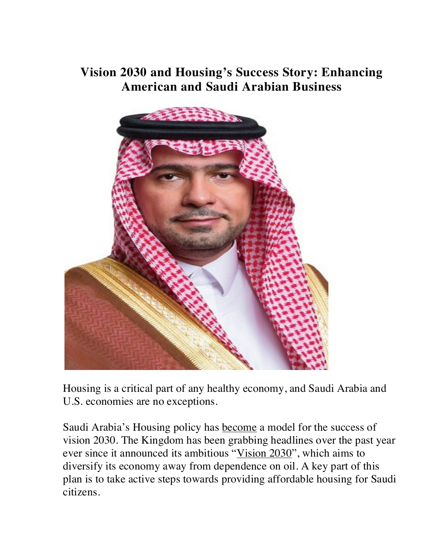## **Vision 2030 and Housing's Success Story: Enhancing American and Saudi Arabian Business**



Housing is a critical part of any healthy economy, and Saudi Arabia and U.S. economies are no exceptions.

Saudi Arabia's Housing policy has become a model for the success of vision 2030. The Kingdom has been grabbing headlines over the past year ever since it announced its ambitious "Vision 2030", which aims to diversify its economy away from dependence on oil. A key part of this plan is to take active steps towards providing affordable housing for Saudi citizens.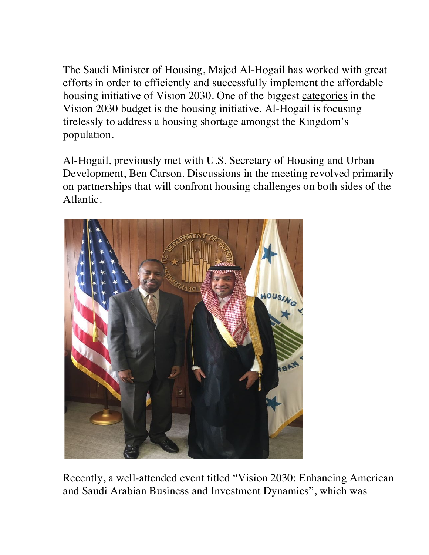The Saudi Minister of Housing, Majed Al-Hogail has worked with great efforts in order to efficiently and successfully implement the affordable housing initiative of Vision 2030. One of the biggest categories in the Vision 2030 budget is the housing initiative. Al-Hogail is focusing tirelessly to address a housing shortage amongst the Kingdom's population.

Al-Hogail, previously met with U.S. Secretary of Housing and Urban Development, Ben Carson. Discussions in the meeting revolved primarily on partnerships that will confront housing challenges on both sides of the Atlantic.



Recently, a well-attended event titled "Vision 2030: Enhancing American and Saudi Arabian Business and Investment Dynamics", which was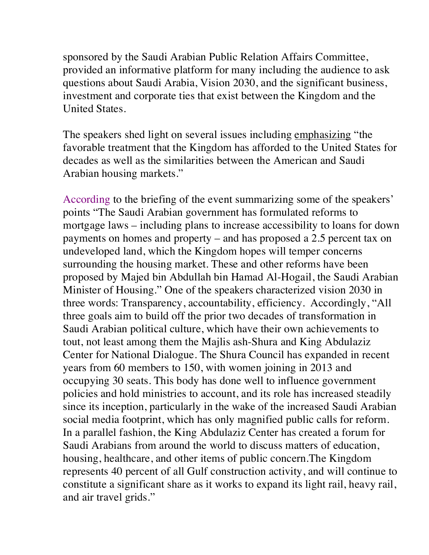sponsored by the Saudi Arabian Public Relation Affairs Committee, provided an informative platform for many including the audience to ask questions about Saudi Arabia, Vision 2030, and the significant business, investment and corporate ties that exist between the Kingdom and the United States.

The speakers shed light on several issues including emphasizing "the favorable treatment that the Kingdom has afforded to the United States for decades as well as the similarities between the American and Saudi Arabian housing markets."

According to the briefing of the event summarizing some of the speakers' points "The Saudi Arabian government has formulated reforms to mortgage laws – including plans to increase accessibility to loans for down payments on homes and property – and has proposed a 2.5 percent tax on undeveloped land, which the Kingdom hopes will temper concerns surrounding the housing market. These and other reforms have been proposed by Majed bin Abdullah bin Hamad Al-Hogail, the Saudi Arabian Minister of Housing." One of the speakers characterized vision 2030 in three words: Transparency, accountability, efficiency. Accordingly, "All three goals aim to build off the prior two decades of transformation in Saudi Arabian political culture, which have their own achievements to tout, not least among them the Majlis ash-Shura and King Abdulaziz Center for National Dialogue. The Shura Council has expanded in recent years from 60 members to 150, with women joining in 2013 and occupying 30 seats. This body has done well to influence government policies and hold ministries to account, and its role has increased steadily since its inception, particularly in the wake of the increased Saudi Arabian social media footprint, which has only magnified public calls for reform. In a parallel fashion, the King Abdulaziz Center has created a forum for Saudi Arabians from around the world to discuss matters of education, housing, healthcare, and other items of public concern.The Kingdom represents 40 percent of all Gulf construction activity, and will continue to constitute a significant share as it works to expand its light rail, heavy rail, and air travel grids."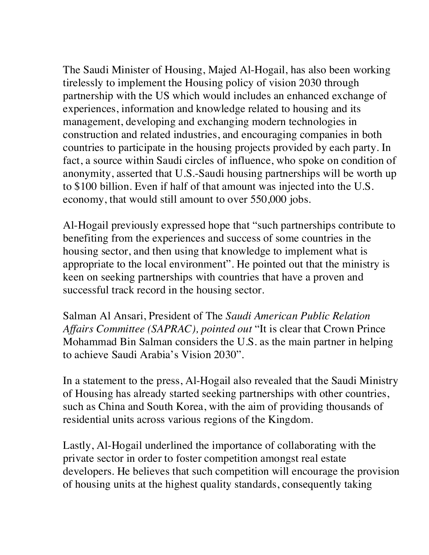The Saudi Minister of Housing, Majed Al-Hogail, has also been working tirelessly to implement the Housing policy of vision 2030 through partnership with the US which would includes an enhanced exchange of experiences, information and knowledge related to housing and its management, developing and exchanging modern technologies in construction and related industries, and encouraging companies in both countries to participate in the housing projects provided by each party. In fact, a source within Saudi circles of influence, who spoke on condition of anonymity, asserted that U.S.-Saudi housing partnerships will be worth up to \$100 billion. Even if half of that amount was injected into the U.S. economy, that would still amount to over 550,000 jobs.

Al-Hogail previously expressed hope that "such partnerships contribute to benefiting from the experiences and success of some countries in the housing sector, and then using that knowledge to implement what is appropriate to the local environment". He pointed out that the ministry is keen on seeking partnerships with countries that have a proven and successful track record in the housing sector.

Salman Al Ansari, President of The *Saudi American Public Relation Affairs Committee (SAPRAC), pointed out* "It is clear that Crown Prince Mohammad Bin Salman considers the U.S. as the main partner in helping to achieve Saudi Arabia's Vision 2030".

In a statement to the press, Al-Hogail also revealed that the Saudi Ministry of Housing has already started seeking partnerships with other countries, such as China and South Korea, with the aim of providing thousands of residential units across various regions of the Kingdom.

Lastly, Al-Hogail underlined the importance of collaborating with the private sector in order to foster competition amongst real estate developers. He believes that such competition will encourage the provision of housing units at the highest quality standards, consequently taking